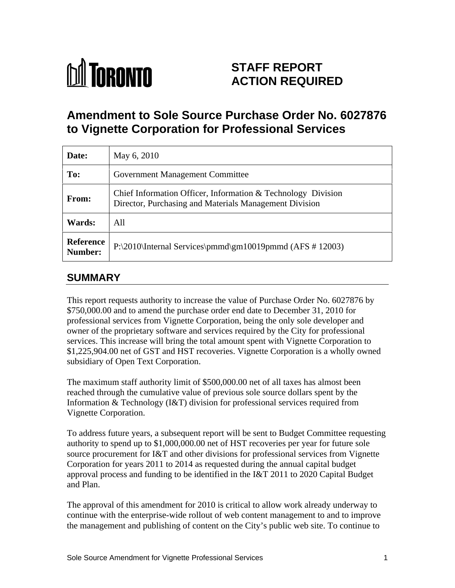

# **STAFF REPORT ACTION REQUIRED**

## **Amendment to Sole Source Purchase Order No. 6027876 to Vignette Corporation for Professional Services**

| Date:                | May 6, 2010                                                                                                            |
|----------------------|------------------------------------------------------------------------------------------------------------------------|
| To:                  | Government Management Committee                                                                                        |
| From:                | Chief Information Officer, Information & Technology Division<br>Director, Purchasing and Materials Management Division |
| Wards:               | All                                                                                                                    |
| Reference<br>Number: | $P:\2010\$ Internal Services \pmmd\gm10019pmmd (AFS # 12003)                                                           |

## **SUMMARY**

This report requests authority to increase the value of Purchase Order No. 6027876 by \$750,000.00 and to amend the purchase order end date to December 31, 2010 for professional services from Vignette Corporation, being the only sole developer and owner of the proprietary software and services required by the City for professional services. This increase will bring the total amount spent with Vignette Corporation to \$1,225,904.00 net of GST and HST recoveries. Vignette Corporation is a wholly owned subsidiary of Open Text Corporation.

The maximum staff authority limit of \$500,000.00 net of all taxes has almost been reached through the cumulative value of previous sole source dollars spent by the Information & Technology (I&T) division for professional services required from Vignette Corporation.

To address future years, a subsequent report will be sent to Budget Committee requesting authority to spend up to \$1,000,000.00 net of HST recoveries per year for future sole source procurement for I&T and other divisions for professional services from Vignette Corporation for years 2011 to 2014 as requested during the annual capital budget approval process and funding to be identified in the I&T 2011 to 2020 Capital Budget and Plan.

The approval of this amendment for 2010 is critical to allow work already underway to continue with the enterprise-wide rollout of web content management to and to improve the management and publishing of content on the City's public web site. To continue to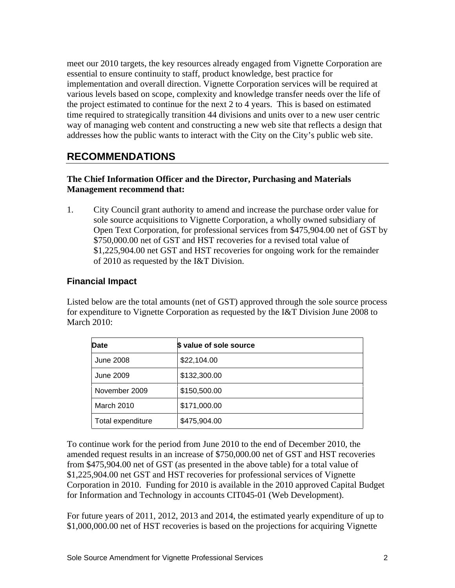meet our 2010 targets, the key resources already engaged from Vignette Corporation are essential to ensure continuity to staff, product knowledge, best practice for implementation and overall direction. Vignette Corporation services will be required at various levels based on scope, complexity and knowledge transfer needs over the life of the project estimated to continue for the next 2 to 4 years. This is based on estimated time required to strategically transition 44 divisions and units over to a new user centric way of managing web content and constructing a new web site that reflects a design that addresses how the public wants to interact with the City on the City's public web site.

## **RECOMMENDATIONS**

#### **The Chief Information Officer and the Director, Purchasing and Materials Management recommend that:**

1. City Council grant authority to amend and increase the purchase order value for sole source acquisitions to Vignette Corporation, a wholly owned subsidiary of Open Text Corporation, for professional services from \$475,904.00 net of GST by \$750,000.00 net of GST and HST recoveries for a revised total value of \$1,225,904.00 net GST and HST recoveries for ongoing work for the remainder of 2010 as requested by the I&T Division.

#### **Financial Impact**

Listed below are the total amounts (net of GST) approved through the sole source process for expenditure to Vignette Corporation as requested by the I&T Division June 2008 to March 2010:

| <b>Date</b>       | \$ value of sole source    |
|-------------------|----------------------------|
| June 2008         | $\frac{22,104.00}{$        |
| June 2009         | $\frac{1}{2}$ \$132,300.00 |
| November 2009     | $\frac{1}{2}$ \$150,500.00 |
| March 2010        | $\frac{1}{2}$ \$171,000.00 |
| Total expenditure | \$475,904.00               |

To continue work for the period from June 2010 to the end of December 2010, the amended request results in an increase of \$750,000.00 net of GST and HST recoveries from \$475,904.00 net of GST (as presented in the above table) for a total value of \$1,225,904.00 net GST and HST recoveries for professional services of Vignette Corporation in 2010. Funding for 2010 is available in the 2010 approved Capital Budget for Information and Technology in accounts CIT045-01 (Web Development).

For future years of 2011, 2012, 2013 and 2014, the estimated yearly expenditure of up to \$1,000,000.00 net of HST recoveries is based on the projections for acquiring Vignette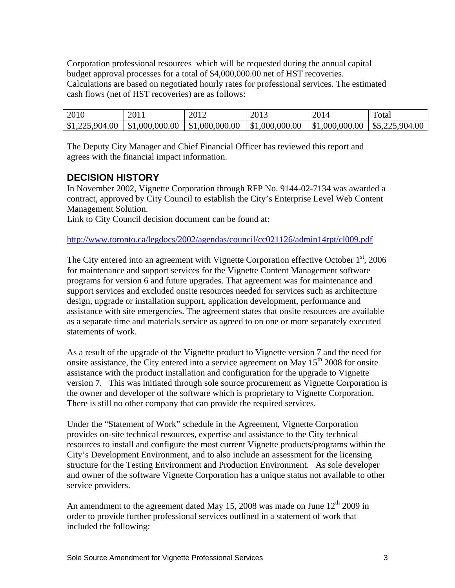Corporation professional resources which will be requested during the annual capital budget approval processes for a total of \$4,000,000.00 net of HST recoveries. Calculations are based on negotiated hourly rates for professional services. The estimated cash flows (net of HST recoveries) are as follows:

| 201<br>⇔∪⊥∪  | $\sim$ $\sim$ $\sim$<br>201 | $\mathbf{A}$ $\mathbf{A}$ | - - -<br>- 11<br>້ | - - -<br>$  -$ | Total                   |
|--------------|-----------------------------|---------------------------|--------------------|----------------|-------------------------|
| 1,225,904.00 | $\parallel$ \$1,000,000.00  | 1000,000.00               | \$1,000,000.00     | \$1,000,000.0  | $-225.904.00$<br>$\sim$ |

The Deputy City Manager and Chief Financial Officer has reviewed this report and agrees with the financial impact information.

### **DECISION HISTORY**

In November 2002, Vignette Corporation through RFP No. 9144-02-7134 was awarded a contract, approved by City Council to establish the City's Enterprise Level Web Content Management Solution.

Link to City Council decision document can be found at:

[http://www.toronto.ca/legdocs/2002/agendas/council/cc021126/admin14rpt/cl009.pdf](http://www.toronto.ca/legdocs/2002/agendas/council/cc021126/adm14rpt/cl009.pdf)

The City entered into an agreement with Vignette Corporation effective October  $1<sup>st</sup>$ , 2006 for maintenance and support services for the Vignette Content Management software programs for version 6 and future upgrades. That agreement was for maintenance and support services and excluded onsite resources needed for services such as architecture design, upgrade or installation support, application development, performance and assistance with site emergencies. The agreement states that onsite resources are available as a separate time and materials service as agreed to on one or more separately executed statements of work.

As a result of the upgrade of the Vignette product to Vignette version 7 and the need for onsite assistance, the City entered into a service agreement on May  $15<sup>th</sup>$  2008 for onsite assistance with the product installation and configuration for the upgrade to Vignette version 7. This was initiated through sole source procurement as Vignette Corporation is the owner and developer of the software which is proprietary to Vignette Corporation. There is still no other company that can provide the required services.

Under the "Statement of Work" schedule in the Agreement, Vignette Corporation provides on-site technical resources, expertise and assistance to the City technical resources to install and configure the most current Vignette products/programs within the City's Development Environment, and to also include an assessment for the licensing structure for the Testing Environment and Production Environment. As sole developer and owner of the software Vignette Corporation has a unique status not available to other service providers.

An amendment to the agreement dated May 15, 2008 was made on June  $12<sup>th</sup>$  2009 in order to provide further professional services outlined in a statement of work that included the following: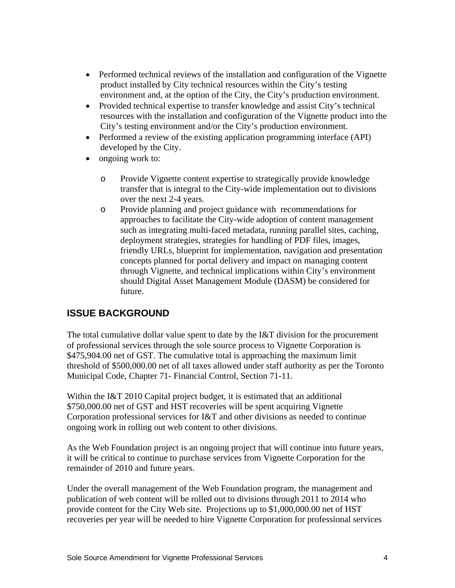- Performed technical reviews of the installation and configuration of the Vignette product installed by City technical resources within the City's testing environment and, at the option of the City, the City's production environment.
- Provided technical expertise to transfer knowledge and assist City's technical resources with the installation and configuration of the Vignette product into the City's testing environment and/or the City's production environment.
- Performed a review of the existing application programming interface (API) developed by the City.<br>ongoing work to:
- - o Provide Vignette content expertise to strategically provide knowledge transfer that is integral to the City-wide implementation out to divisions over the next 2-4 years.
	- o Provide planning and project guidance with recommendations for approaches to facilitate the City-wide adoption of content management such as integrating multi-faced metadata, running parallel sites, caching, deployment strategies, strategies for handling of PDF files, images, friendly URLs, blueprint for implementation, navigation and presentation concepts planned for portal delivery and impact on managing content through Vignette, and technical implications within City's environment should Digital Asset Management Module (DASM) be considered for future.

### **ISSUE BACKGROUND**

The total cumulative dollar value spent to date by the I&T division for the procurement of professional services through the sole source process to Vignette Corporation is \$475,904.00 net of GST. The cumulative total is approaching the maximum limit threshold of \$500,000.00 net of all taxes allowed under staff authority as per the Toronto Municipal Code, Chapter 71- Financial Control, Section 71-11.

Within the I&T 2010 Capital project budget, it is estimated that an additional \$750,000.00 net of GST and HST recoveries will be spent acquiring Vignette Corporation professional services for I&T and other divisions as needed to continue ongoing work in rolling out web content to other divisions.

As the Web Foundation project is an ongoing project that will continue into future years, it will be critical to continue to purchase services from Vignette Corporation for the remainder of 2010 and future years.

Under the overall management of the Web Foundation program, the management and publication of web content will be rolled out to divisions through 2011 to 2014 who provide content for the City Web site. Projections up to \$1,000,000.00 net of HST recoveries per year will be needed to hire Vignette Corporation for professional services